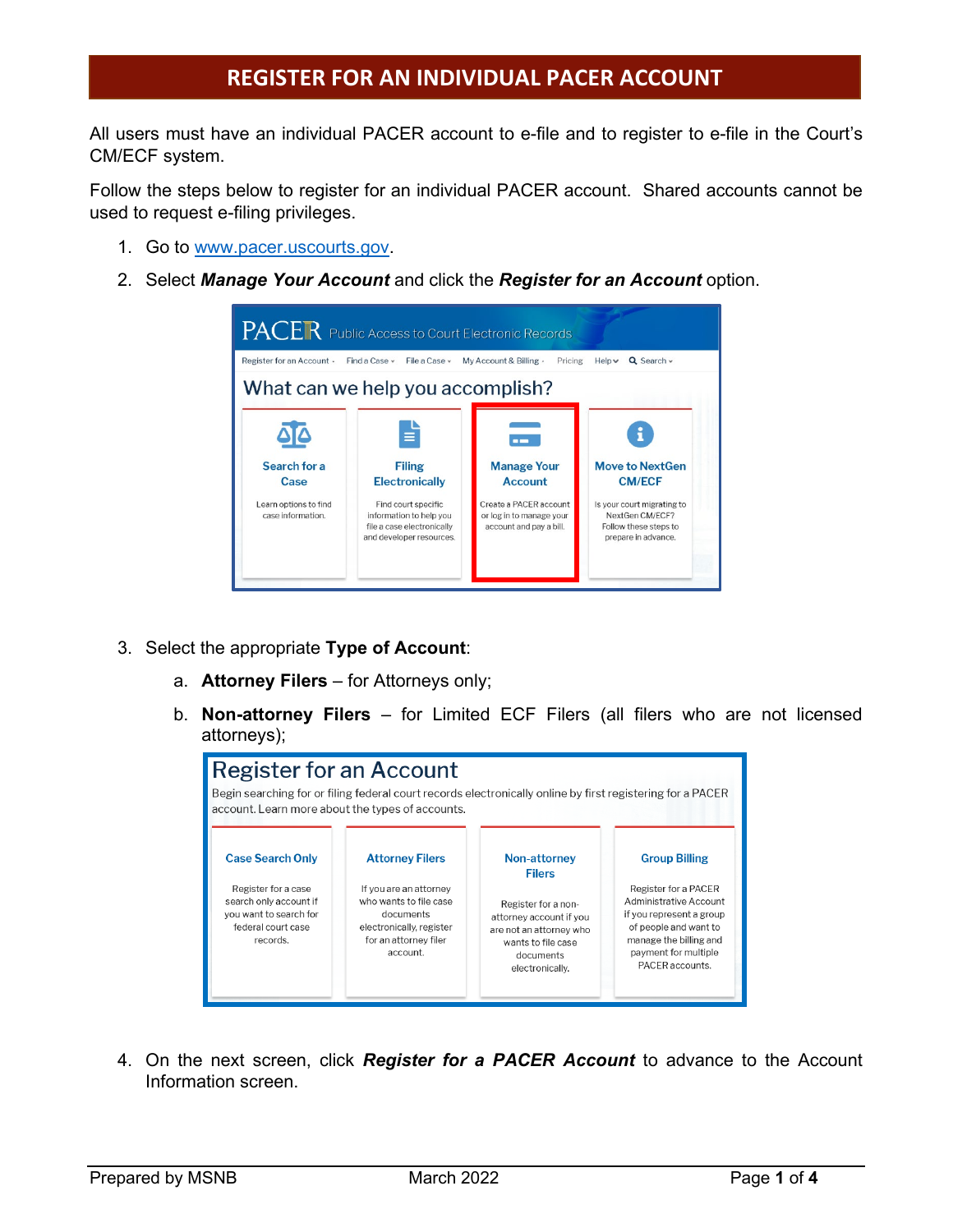All users must have an individual PACER account to e-file and to register to e-file in the Court's CM/ECF system.

Follow the steps below to register for an individual PACER account. Shared accounts cannot be used to request e-filing privileges.

- 1. Go to [www.pacer.uscourts.gov.](http://www.pacer.uscourts.gov/)
- 2. Select *Manage Your Account* and click the *Register for an Account* option.

| PACER Public Access to Court Electronic Records                    |                                                                                                                                                         |                                                                                                                       |                                                                                                                                          |  |  |
|--------------------------------------------------------------------|---------------------------------------------------------------------------------------------------------------------------------------------------------|-----------------------------------------------------------------------------------------------------------------------|------------------------------------------------------------------------------------------------------------------------------------------|--|--|
| Register for an Account -                                          | Find a Case y<br>File a Case y                                                                                                                          | My Account & Billing -<br>Pricing                                                                                     | Helpv<br>$Q$ Search $\sim$                                                                                                               |  |  |
|                                                                    | What can we help you accomplish?                                                                                                                        |                                                                                                                       |                                                                                                                                          |  |  |
| Search for a<br>Case<br>Learn options to find<br>case information. | E<br><b>Filing</b><br><b>Electronically</b><br>Find court specific<br>information to help you<br>file a case electronically<br>and developer resources. | <b>Manage Your</b><br><b>Account</b><br>Create a PACER account<br>or log in to manage your<br>account and pay a bill. | <b>Move to NextGen</b><br><b>CM/ECF</b><br>Is your court migrating to<br>NextGen CM/ECF?<br>Follow these steps to<br>prepare in advance. |  |  |

- 3. Select the appropriate **Type of Account**:
	- a. **Attorney Filers** for Attorneys only;
	- b. **Non-attorney Filers** for Limited ECF Filers (all filers who are not licensed attorneys);



4. On the next screen, click *Register for a PACER Account* to advance to the Account Information screen.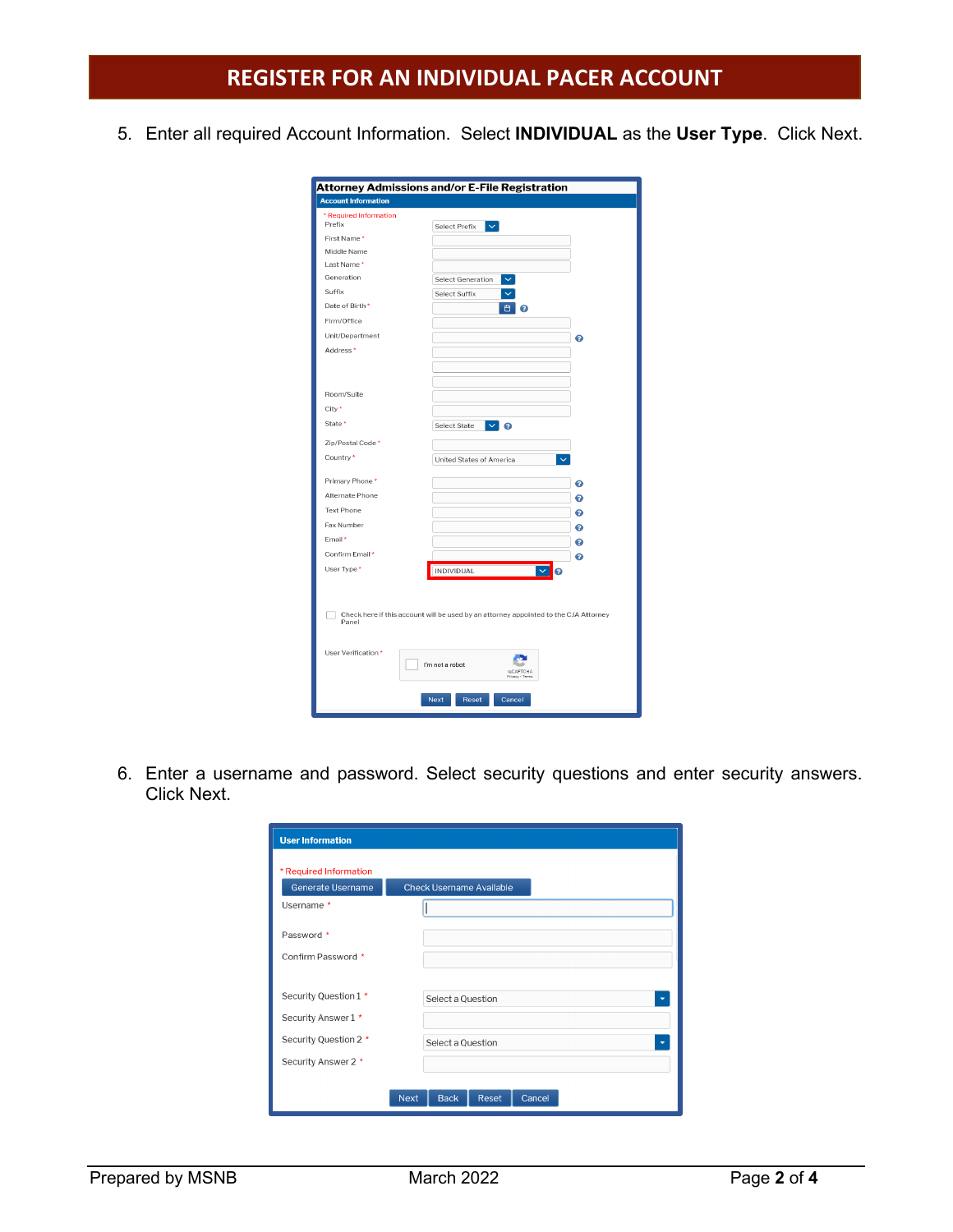5. Enter all required Account Information. Select **INDIVIDUAL** as the **User Type**. Click Next.

|                            | Attorney Admissions and/or E-File Registration                                       |
|----------------------------|--------------------------------------------------------------------------------------|
| <b>Account Information</b> |                                                                                      |
| * Required Information     |                                                                                      |
| Prefix                     | Select Prefix<br>$\checkmark$                                                        |
| First Name*                |                                                                                      |
| Middle Name                |                                                                                      |
| Last Name*<br>Generation   |                                                                                      |
|                            | $\checkmark$<br>Select Generation                                                    |
| Suffix                     | Select Suffix                                                                        |
| Date of Birth *            | 白<br>๏                                                                               |
| Firm/Office                |                                                                                      |
| Unit/Department            | ๏                                                                                    |
| Address <sup>*</sup>       |                                                                                      |
|                            |                                                                                      |
|                            |                                                                                      |
| Room/Suite                 |                                                                                      |
| City*                      |                                                                                      |
| State *                    | $\vee$ 2<br>Select State                                                             |
|                            |                                                                                      |
| Zip/Postal Code *          |                                                                                      |
| Country*                   | United States of America                                                             |
| Primary Phone*             | ๏                                                                                    |
| Alternate Phone            | ๏                                                                                    |
| <b>Text Phone</b>          | ๏                                                                                    |
| Fax Number                 | ๏                                                                                    |
| Email*                     | ๏                                                                                    |
| Confirm Email*             | ℯ                                                                                    |
| User Type*                 | <b>INDIVIDUAL</b><br>$\checkmark$<br>ℯ                                               |
|                            |                                                                                      |
|                            |                                                                                      |
|                            | Check here if this account will be used by an attorney appointed to the CJA Attorney |
| Panel                      |                                                                                      |
|                            |                                                                                      |
| User Verification *        |                                                                                      |
|                            | I'm not a robot<br>reCAPTCHA<br>Privacy - Terms                                      |
|                            | <b>Next</b><br>Reset<br>Cancel                                                       |

6. Enter a username and password. Select security questions and enter security answers. Click Next.

| * Required Information |                                               |
|------------------------|-----------------------------------------------|
| Generate Username      | <b>Check Username Available</b>               |
| Username *             |                                               |
| Password *             |                                               |
| Confirm Password *     |                                               |
|                        |                                               |
| Security Question 1 *  | Select a Question<br>$\overline{\phantom{a}}$ |
| Security Answer 1 *    |                                               |
| Security Question 2 *  | Select a Question                             |
| Security Answer 2 *    |                                               |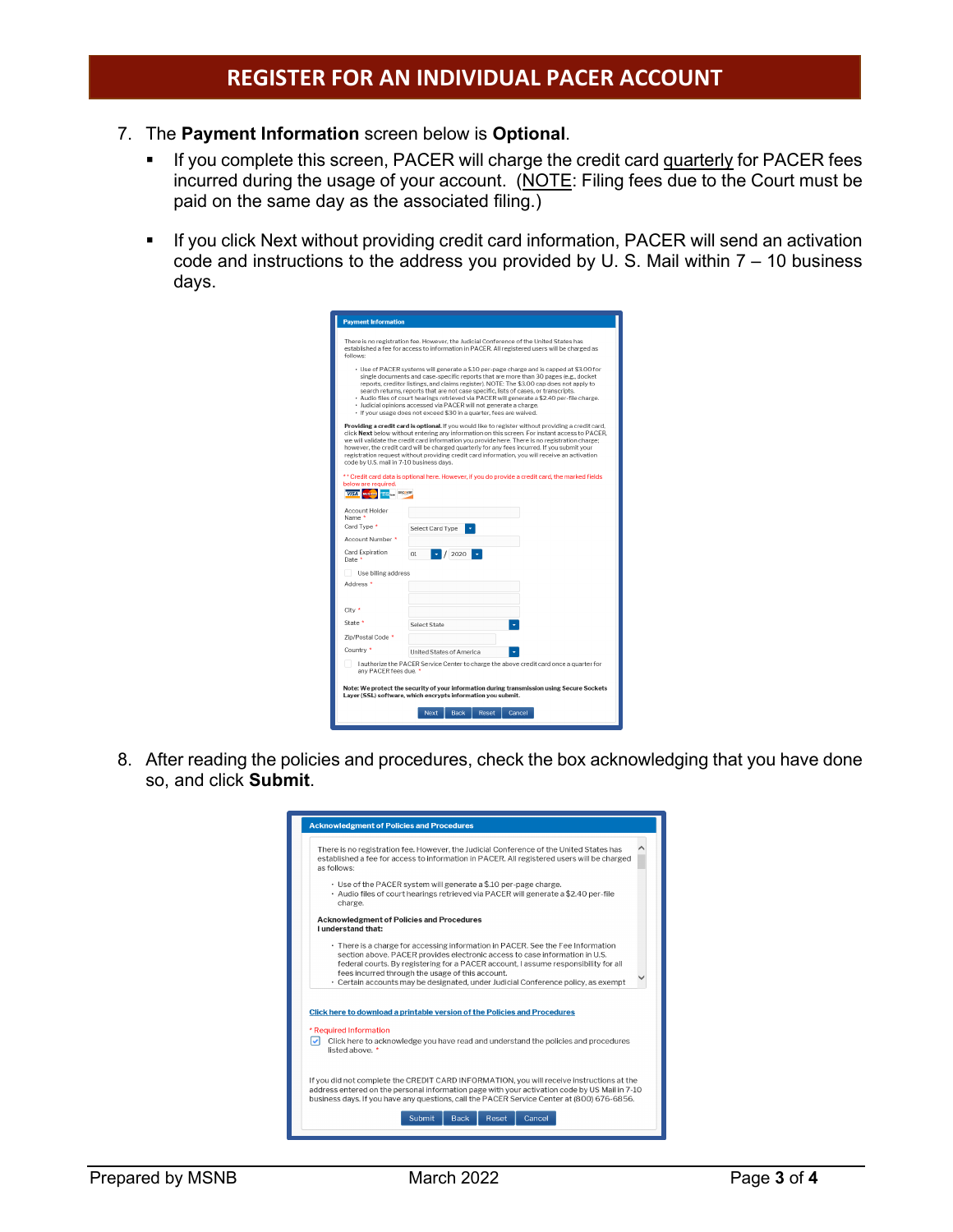- 7. The **Payment Information** screen below is **Optional**.
	- If you complete this screen, PACER will charge the credit card quarterly for PACER fees incurred during the usage of your account. (NOTE: Filing fees due to the Court must be paid on the same day as the associated filing.)
	- If you click Next without providing credit card information, PACER will send an activation code and instructions to the address you provided by U. S. Mail within 7 – 10 business days.

| <b>Payment Information</b>                                                                                                                                                                                                                                                                                                                                                                                                                                                                                                                                                  |                                                                                                                                                                                                                                                                                                                                                                                                                                                                                                                                                                                                                 |  |  |  |  |
|-----------------------------------------------------------------------------------------------------------------------------------------------------------------------------------------------------------------------------------------------------------------------------------------------------------------------------------------------------------------------------------------------------------------------------------------------------------------------------------------------------------------------------------------------------------------------------|-----------------------------------------------------------------------------------------------------------------------------------------------------------------------------------------------------------------------------------------------------------------------------------------------------------------------------------------------------------------------------------------------------------------------------------------------------------------------------------------------------------------------------------------------------------------------------------------------------------------|--|--|--|--|
| There is no registration fee. However, the Judicial Conference of the United States has<br>established a fee for access to information in PACER. All registered users will be charged as<br>follows:<br>· Use of PACER systems will generate a \$.10 per-page charge and is capped at \$3.00 for<br>single documents and case-specific reports that are more than 30 pages (e.g., docket<br>reports, creditor listings, and claims register), NOTE: The \$3.00 cap does not apply to<br>search returns, reports that are not case specific, lists of cases, or transcripts. |                                                                                                                                                                                                                                                                                                                                                                                                                                                                                                                                                                                                                 |  |  |  |  |
| · Audio files of court hearings retrieved via PACER will generate a \$2.40 per-file charge.<br>· Judicial opinions accessed via PACER will not generate a charge.<br>· If your usage does not exceed \$30 in a quarter, fees are waived.                                                                                                                                                                                                                                                                                                                                    |                                                                                                                                                                                                                                                                                                                                                                                                                                                                                                                                                                                                                 |  |  |  |  |
| code by U.S. mail in 7-10 business days.<br>below are required.<br>VISA PRINCES TEM DISCOVER                                                                                                                                                                                                                                                                                                                                                                                                                                                                                | Providing a credit card is optional. If you would like to register without providing a credit card,<br>click Next below without entering any information on this screen. For instant access to PACER.<br>we will validate the credit card information you provide here. There is no registration charge:<br>however, the credit card will be charged quarterly for any fees incurred. If you submit your<br>registration request without providing credit card information, you will receive an activation<br>** Credit card data is optional here. However, if you do provide a credit card, the marked fields |  |  |  |  |
| Account Holder                                                                                                                                                                                                                                                                                                                                                                                                                                                                                                                                                              |                                                                                                                                                                                                                                                                                                                                                                                                                                                                                                                                                                                                                 |  |  |  |  |
| Name *<br>Card Type *                                                                                                                                                                                                                                                                                                                                                                                                                                                                                                                                                       |                                                                                                                                                                                                                                                                                                                                                                                                                                                                                                                                                                                                                 |  |  |  |  |
| Account Number *                                                                                                                                                                                                                                                                                                                                                                                                                                                                                                                                                            | Select Card Type                                                                                                                                                                                                                                                                                                                                                                                                                                                                                                                                                                                                |  |  |  |  |
| Card Expiration<br>Date *                                                                                                                                                                                                                                                                                                                                                                                                                                                                                                                                                   | O1<br>2020                                                                                                                                                                                                                                                                                                                                                                                                                                                                                                                                                                                                      |  |  |  |  |
| Use billing address                                                                                                                                                                                                                                                                                                                                                                                                                                                                                                                                                         |                                                                                                                                                                                                                                                                                                                                                                                                                                                                                                                                                                                                                 |  |  |  |  |
| Address <sup>*</sup>                                                                                                                                                                                                                                                                                                                                                                                                                                                                                                                                                        |                                                                                                                                                                                                                                                                                                                                                                                                                                                                                                                                                                                                                 |  |  |  |  |
| City *                                                                                                                                                                                                                                                                                                                                                                                                                                                                                                                                                                      |                                                                                                                                                                                                                                                                                                                                                                                                                                                                                                                                                                                                                 |  |  |  |  |
| State *                                                                                                                                                                                                                                                                                                                                                                                                                                                                                                                                                                     | Select State                                                                                                                                                                                                                                                                                                                                                                                                                                                                                                                                                                                                    |  |  |  |  |
| Zip/Postal Code *                                                                                                                                                                                                                                                                                                                                                                                                                                                                                                                                                           |                                                                                                                                                                                                                                                                                                                                                                                                                                                                                                                                                                                                                 |  |  |  |  |
| Country *                                                                                                                                                                                                                                                                                                                                                                                                                                                                                                                                                                   | United States of America                                                                                                                                                                                                                                                                                                                                                                                                                                                                                                                                                                                        |  |  |  |  |
|                                                                                                                                                                                                                                                                                                                                                                                                                                                                                                                                                                             | I authorize the PACER Service Center to charge the above credit card once a quarter for<br>any PACER fees due. *                                                                                                                                                                                                                                                                                                                                                                                                                                                                                                |  |  |  |  |
|                                                                                                                                                                                                                                                                                                                                                                                                                                                                                                                                                                             | Note: We protect the security of your information during transmission using Secure Sockets<br>Layer (SSL) software, which encrypts information you submit.                                                                                                                                                                                                                                                                                                                                                                                                                                                      |  |  |  |  |
|                                                                                                                                                                                                                                                                                                                                                                                                                                                                                                                                                                             | Reset<br>Cancel<br><b>Back</b><br><b>Next</b>                                                                                                                                                                                                                                                                                                                                                                                                                                                                                                                                                                   |  |  |  |  |

8. After reading the policies and procedures, check the box acknowledging that you have done so, and click **Submit**.